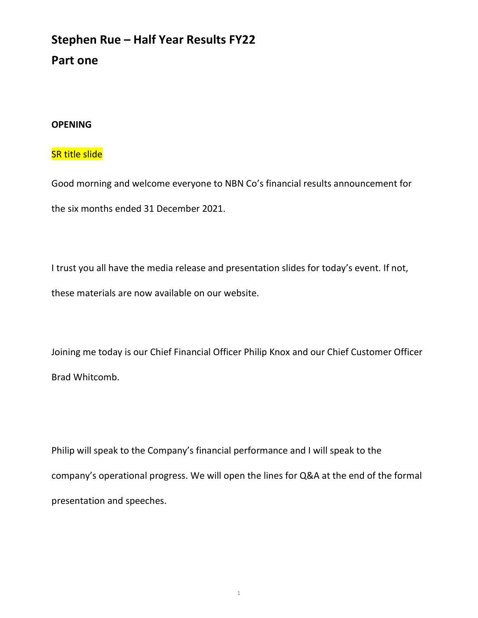# Stephen Rue – Half Year Results FY22 Part one

#### OPENING

### SR title slide

Good morning and welcome everyone to NBN Co's financial results announcement for the six months ended 31 December 2021.

I trust you all have the media release and presentation slides for today's event. If not, these materials are now available on our website.

Joining me today is our Chief Financial Officer Philip Knox and our Chief Customer Officer Brad Whitcomb.

Philip will speak to the Company's financial performance and I will speak to the company's operational progress. We will open the lines for Q&A at the end of the formal presentation and speeches.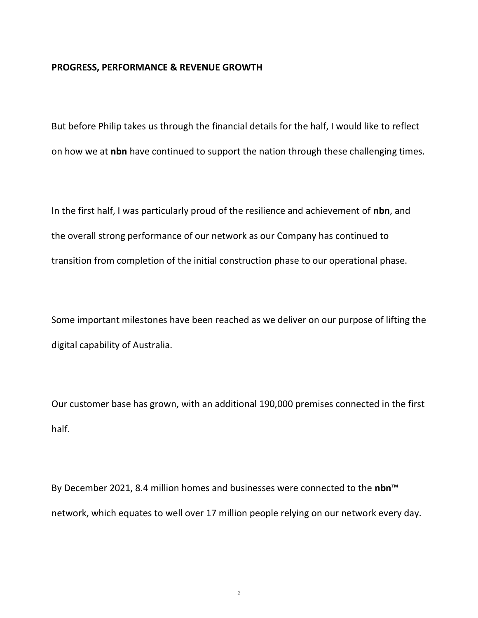#### PROGRESS, PERFORMANCE & REVENUE GROWTH

But before Philip takes us through the financial details for the half, I would like to reflect on how we at nbn have continued to support the nation through these challenging times.

In the first half, I was particularly proud of the resilience and achievement of nbn, and the overall strong performance of our network as our Company has continued to transition from completion of the initial construction phase to our operational phase.

Some important milestones have been reached as we deliver on our purpose of lifting the digital capability of Australia.

Our customer base has grown, with an additional 190,000 premises connected in the first half.

By December 2021, 8.4 million homes and businesses were connected to the nbn<sup>™</sup> network, which equates to well over 17 million people relying on our network every day.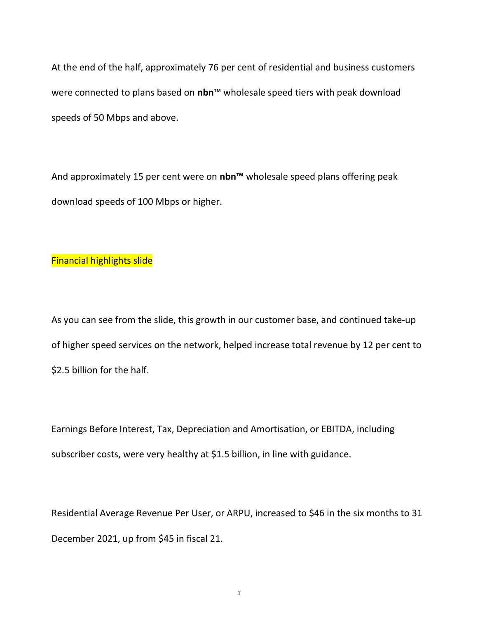At the end of the half, approximately 76 per cent of residential and business customers were connected to plans based on nbn™ wholesale speed tiers with peak download speeds of 50 Mbps and above.

And approximately 15 per cent were on nbn<sup>™</sup> wholesale speed plans offering peak download speeds of 100 Mbps or higher.

#### Financial highlights slide

As you can see from the slide, this growth in our customer base, and continued take-up of higher speed services on the network, helped increase total revenue by 12 per cent to \$2.5 billion for the half.

Earnings Before Interest, Tax, Depreciation and Amortisation, or EBITDA, including subscriber costs, were very healthy at \$1.5 billion, in line with guidance.

Residential Average Revenue Per User, or ARPU, increased to \$46 in the six months to 31 December 2021, up from \$45 in fiscal 21.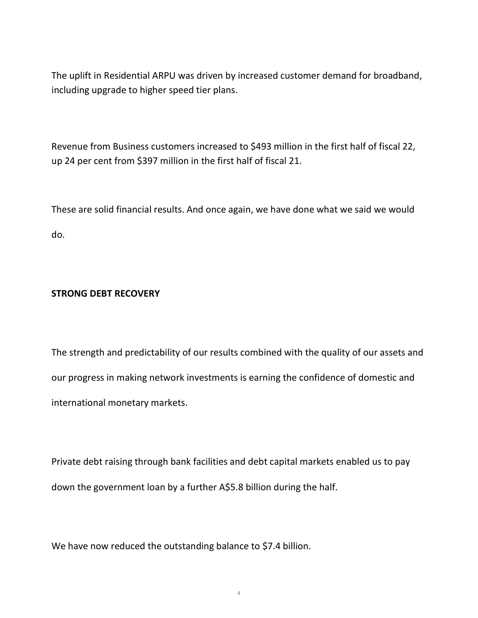The uplift in Residential ARPU was driven by increased customer demand for broadband, including upgrade to higher speed tier plans.

Revenue from Business customers increased to \$493 million in the first half of fiscal 22, up 24 per cent from \$397 million in the first half of fiscal 21.

These are solid financial results. And once again, we have done what we said we would do.

# STRONG DEBT RECOVERY

The strength and predictability of our results combined with the quality of our assets and our progress in making network investments is earning the confidence of domestic and international monetary markets.

Private debt raising through bank facilities and debt capital markets enabled us to pay down the government loan by a further A\$5.8 billion during the half.

We have now reduced the outstanding balance to \$7.4 billion.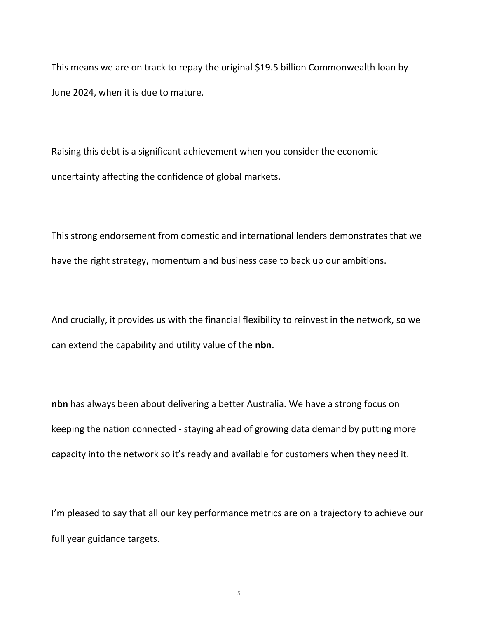This means we are on track to repay the original \$19.5 billion Commonwealth loan by June 2024, when it is due to mature.

Raising this debt is a significant achievement when you consider the economic uncertainty affecting the confidence of global markets.

This strong endorsement from domestic and international lenders demonstrates that we have the right strategy, momentum and business case to back up our ambitions.

And crucially, it provides us with the financial flexibility to reinvest in the network, so we can extend the capability and utility value of the nbn.

nbn has always been about delivering a better Australia. We have a strong focus on keeping the nation connected - staying ahead of growing data demand by putting more capacity into the network so it's ready and available for customers when they need it.

I'm pleased to say that all our key performance metrics are on a trajectory to achieve our full year guidance targets.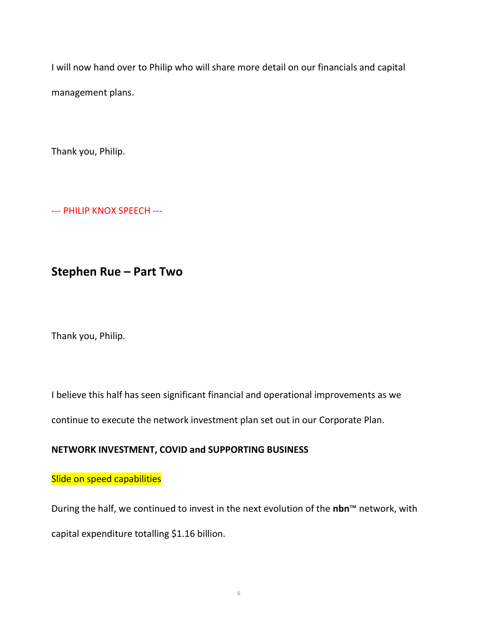I will now hand over to Philip who will share more detail on our financials and capital management plans.

Thank you, Philip.

--- PHILIP KNOX SPEECH ---

# Stephen Rue – Part Two

Thank you, Philip.

I believe this half has seen significant financial and operational improvements as we

continue to execute the network investment plan set out in our Corporate Plan.

# NETWORK INVESTMENT, COVID and SUPPORTING BUSINESS

# Slide on speed capabilities

During the half, we continued to invest in the next evolution of the nbn™ network, with capital expenditure totalling \$1.16 billion.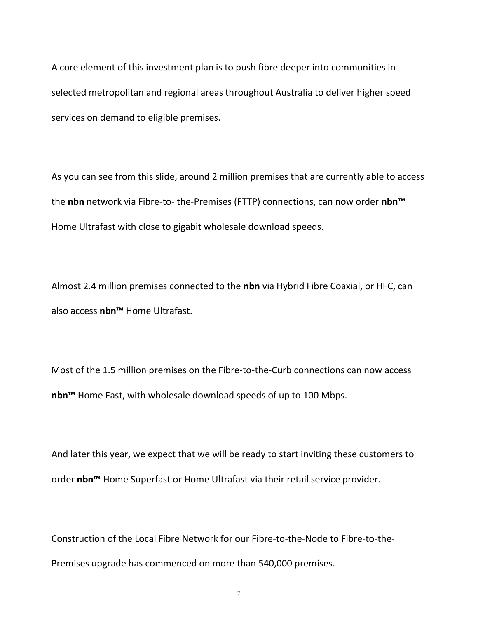A core element of this investment plan is to push fibre deeper into communities in selected metropolitan and regional areas throughout Australia to deliver higher speed services on demand to eligible premises.

As you can see from this slide, around 2 million premises that are currently able to access the nbn network via Fibre-to- the-Premises (FTTP) connections, can now order nbn<sup>™</sup> Home Ultrafast with close to gigabit wholesale download speeds.

Almost 2.4 million premises connected to the nbn via Hybrid Fibre Coaxial, or HFC, can also access nbn™ Home Ultrafast.

Most of the 1.5 million premises on the Fibre-to-the-Curb connections can now access nbn™ Home Fast, with wholesale download speeds of up to 100 Mbps.

And later this year, we expect that we will be ready to start inviting these customers to order nbn<sup>™</sup> Home Superfast or Home Ultrafast via their retail service provider.

Construction of the Local Fibre Network for our Fibre-to-the-Node to Fibre-to-the-Premises upgrade has commenced on more than 540,000 premises.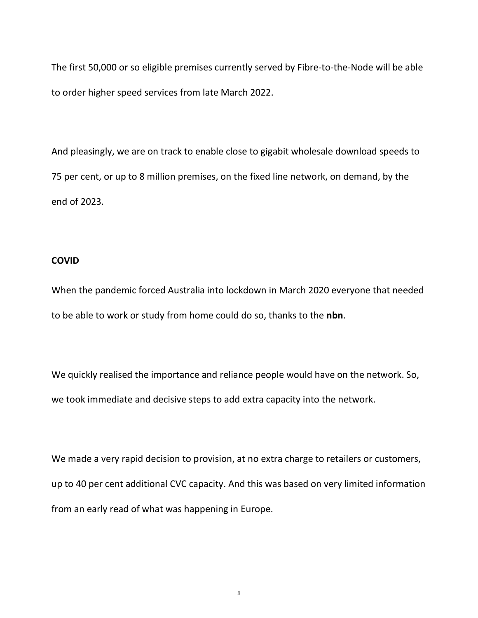The first 50,000 or so eligible premises currently served by Fibre-to-the-Node will be able to order higher speed services from late March 2022.

And pleasingly, we are on track to enable close to gigabit wholesale download speeds to 75 per cent, or up to 8 million premises, on the fixed line network, on demand, by the end of 2023.

#### COVID

When the pandemic forced Australia into lockdown in March 2020 everyone that needed to be able to work or study from home could do so, thanks to the nbn.

We quickly realised the importance and reliance people would have on the network. So, we took immediate and decisive steps to add extra capacity into the network.

We made a very rapid decision to provision, at no extra charge to retailers or customers, up to 40 per cent additional CVC capacity. And this was based on very limited information from an early read of what was happening in Europe.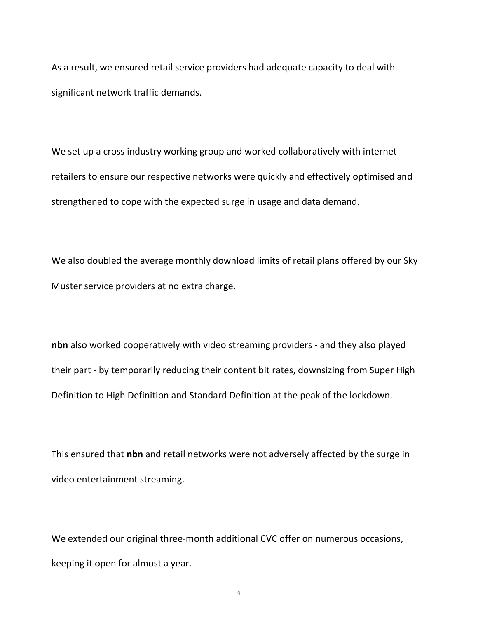As a result, we ensured retail service providers had adequate capacity to deal with significant network traffic demands.

We set up a cross industry working group and worked collaboratively with internet retailers to ensure our respective networks were quickly and effectively optimised and strengthened to cope with the expected surge in usage and data demand.

We also doubled the average monthly download limits of retail plans offered by our Sky Muster service providers at no extra charge.

nbn also worked cooperatively with video streaming providers - and they also played their part - by temporarily reducing their content bit rates, downsizing from Super High Definition to High Definition and Standard Definition at the peak of the lockdown.

This ensured that nbn and retail networks were not adversely affected by the surge in video entertainment streaming.

We extended our original three-month additional CVC offer on numerous occasions, keeping it open for almost a year.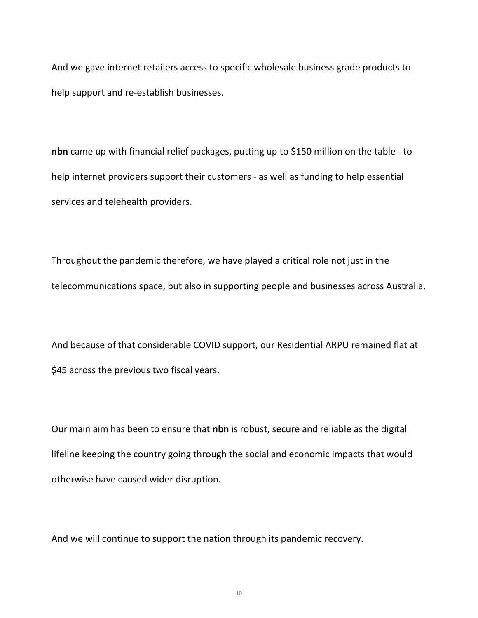And we gave internet retailers access to specific wholesale business grade products to help support and re-establish businesses.

nbn came up with financial relief packages, putting up to \$150 million on the table - to help internet providers support their customers - as well as funding to help essential services and telehealth providers.

Throughout the pandemic therefore, we have played a critical role not just in the telecommunications space, but also in supporting people and businesses across Australia.

And because of that considerable COVID support, our Residential ARPU remained flat at \$45 across the previous two fiscal years.

Our main aim has been to ensure that nbn is robust, secure and reliable as the digital lifeline keeping the country going through the social and economic impacts that would otherwise have caused wider disruption.

And we will continue to support the nation through its pandemic recovery.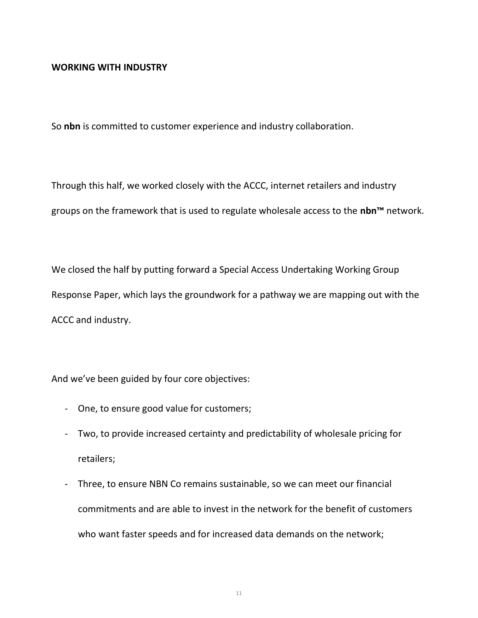#### WORKING WITH INDUSTRY

So nbn is committed to customer experience and industry collaboration.

Through this half, we worked closely with the ACCC, internet retailers and industry groups on the framework that is used to regulate wholesale access to the nbn<sup>™</sup> network.

We closed the half by putting forward a Special Access Undertaking Working Group Response Paper, which lays the groundwork for a pathway we are mapping out with the ACCC and industry.

And we've been guided by four core objectives:

- One, to ensure good value for customers;
- Two, to provide increased certainty and predictability of wholesale pricing for retailers;
- Three, to ensure NBN Co remains sustainable, so we can meet our financial commitments and are able to invest in the network for the benefit of customers who want faster speeds and for increased data demands on the network;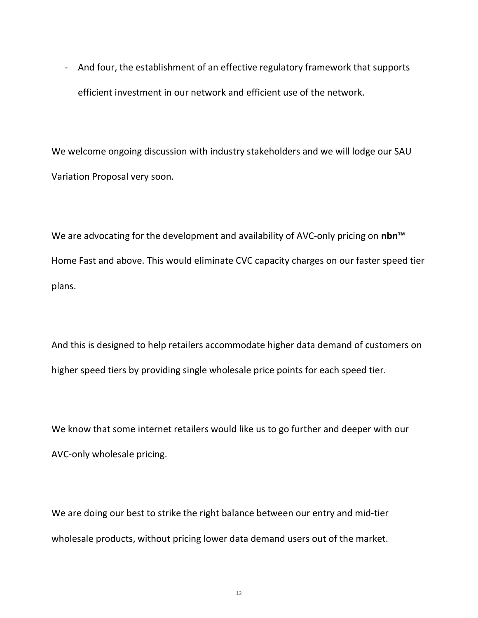- And four, the establishment of an effective regulatory framework that supports efficient investment in our network and efficient use of the network.

We welcome ongoing discussion with industry stakeholders and we will lodge our SAU Variation Proposal very soon.

We are advocating for the development and availability of AVC-only pricing on nbn<sup>™</sup> Home Fast and above. This would eliminate CVC capacity charges on our faster speed tier plans.

And this is designed to help retailers accommodate higher data demand of customers on higher speed tiers by providing single wholesale price points for each speed tier.

We know that some internet retailers would like us to go further and deeper with our AVC-only wholesale pricing.

We are doing our best to strike the right balance between our entry and mid-tier wholesale products, without pricing lower data demand users out of the market.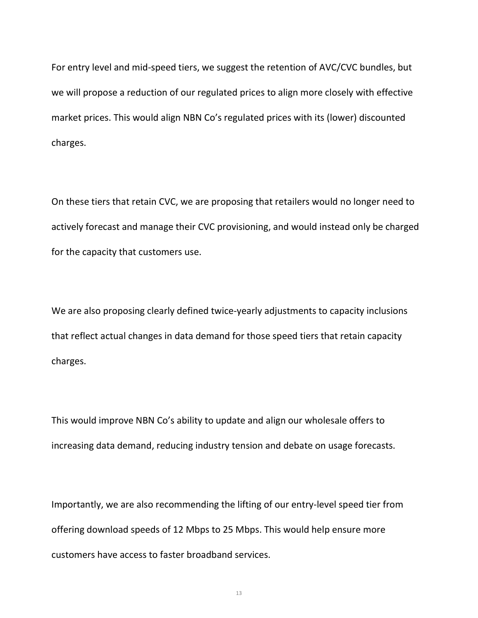For entry level and mid-speed tiers, we suggest the retention of AVC/CVC bundles, but we will propose a reduction of our regulated prices to align more closely with effective market prices. This would align NBN Co's regulated prices with its (lower) discounted charges.

On these tiers that retain CVC, we are proposing that retailers would no longer need to actively forecast and manage their CVC provisioning, and would instead only be charged for the capacity that customers use.

We are also proposing clearly defined twice-yearly adjustments to capacity inclusions that reflect actual changes in data demand for those speed tiers that retain capacity charges.

This would improve NBN Co's ability to update and align our wholesale offers to increasing data demand, reducing industry tension and debate on usage forecasts.

Importantly, we are also recommending the lifting of our entry-level speed tier from offering download speeds of 12 Mbps to 25 Mbps. This would help ensure more customers have access to faster broadband services.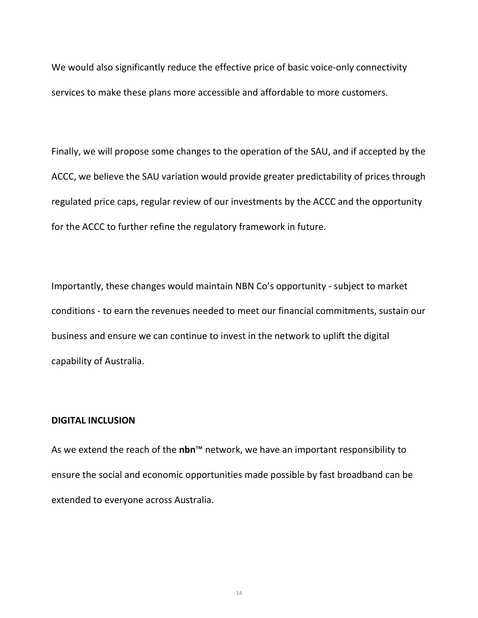We would also significantly reduce the effective price of basic voice-only connectivity services to make these plans more accessible and affordable to more customers.

Finally, we will propose some changes to the operation of the SAU, and if accepted by the ACCC, we believe the SAU variation would provide greater predictability of prices through regulated price caps, regular review of our investments by the ACCC and the opportunity for the ACCC to further refine the regulatory framework in future.

Importantly, these changes would maintain NBN Co's opportunity - subject to market conditions - to earn the revenues needed to meet our financial commitments, sustain our business and ensure we can continue to invest in the network to uplift the digital capability of Australia.

#### DIGITAL INCLUSION

As we extend the reach of the nbn<sup>™</sup> network, we have an important responsibility to ensure the social and economic opportunities made possible by fast broadband can be extended to everyone across Australia.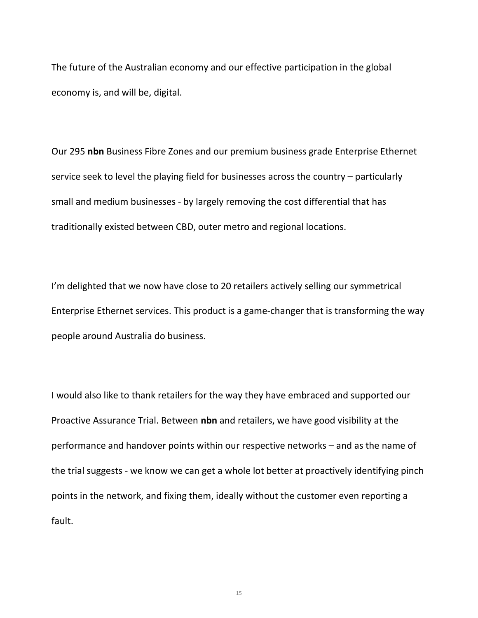The future of the Australian economy and our effective participation in the global economy is, and will be, digital.

Our 295 nbn Business Fibre Zones and our premium business grade Enterprise Ethernet service seek to level the playing field for businesses across the country – particularly small and medium businesses - by largely removing the cost differential that has traditionally existed between CBD, outer metro and regional locations.

I'm delighted that we now have close to 20 retailers actively selling our symmetrical Enterprise Ethernet services. This product is a game-changer that is transforming the way people around Australia do business.

I would also like to thank retailers for the way they have embraced and supported our Proactive Assurance Trial. Between nbn and retailers, we have good visibility at the performance and handover points within our respective networks – and as the name of the trial suggests - we know we can get a whole lot better at proactively identifying pinch points in the network, and fixing them, ideally without the customer even reporting a fault.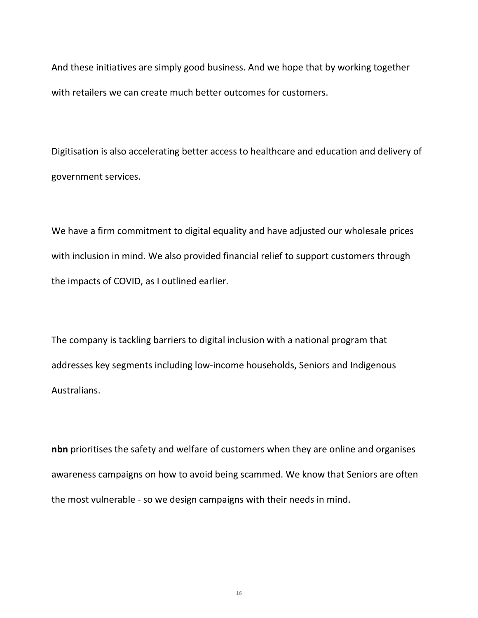And these initiatives are simply good business. And we hope that by working together with retailers we can create much better outcomes for customers.

Digitisation is also accelerating better access to healthcare and education and delivery of government services.

We have a firm commitment to digital equality and have adjusted our wholesale prices with inclusion in mind. We also provided financial relief to support customers through the impacts of COVID, as I outlined earlier.

The company is tackling barriers to digital inclusion with a national program that addresses key segments including low-income households, Seniors and Indigenous Australians.

nbn prioritises the safety and welfare of customers when they are online and organises awareness campaigns on how to avoid being scammed. We know that Seniors are often the most vulnerable - so we design campaigns with their needs in mind.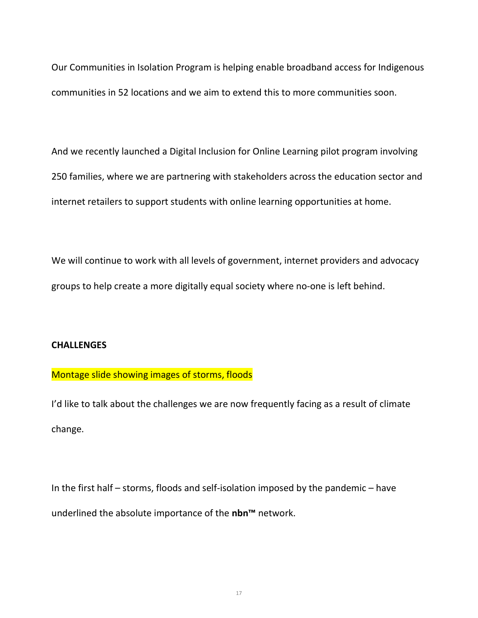Our Communities in Isolation Program is helping enable broadband access for Indigenous communities in 52 locations and we aim to extend this to more communities soon.

And we recently launched a Digital Inclusion for Online Learning pilot program involving 250 families, where we are partnering with stakeholders across the education sector and internet retailers to support students with online learning opportunities at home.

We will continue to work with all levels of government, internet providers and advocacy groups to help create a more digitally equal society where no-one is left behind.

#### **CHALLENGES**

# Montage slide showing images of storms, floods

I'd like to talk about the challenges we are now frequently facing as a result of climate change.

In the first half – storms, floods and self-isolation imposed by the pandemic – have underlined the absolute importance of the nbn<sup>™</sup> network.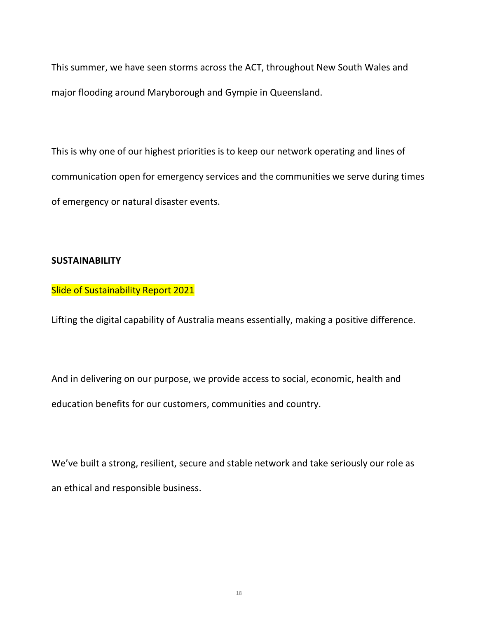This summer, we have seen storms across the ACT, throughout New South Wales and major flooding around Maryborough and Gympie in Queensland.

This is why one of our highest priorities is to keep our network operating and lines of communication open for emergency services and the communities we serve during times of emergency or natural disaster events.

#### **SUSTAINABILITY**

# Slide of Sustainability Report 2021

Lifting the digital capability of Australia means essentially, making a positive difference.

And in delivering on our purpose, we provide access to social, economic, health and education benefits for our customers, communities and country.

We've built a strong, resilient, secure and stable network and take seriously our role as an ethical and responsible business.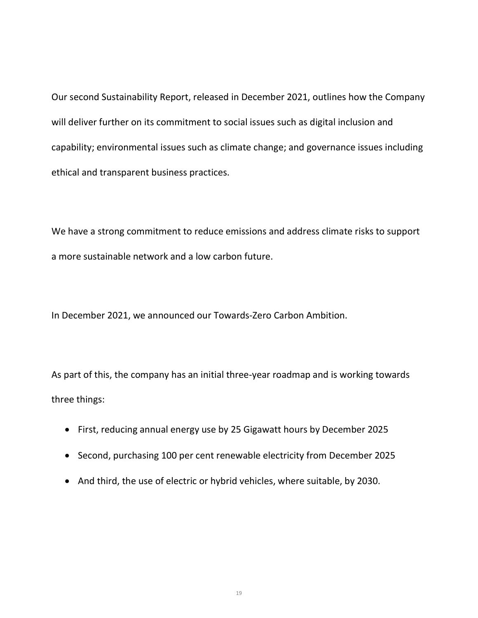Our second Sustainability Report, released in December 2021, outlines how the Company will deliver further on its commitment to social issues such as digital inclusion and capability; environmental issues such as climate change; and governance issues including ethical and transparent business practices.

We have a strong commitment to reduce emissions and address climate risks to support a more sustainable network and a low carbon future.

In December 2021, we announced our Towards-Zero Carbon Ambition.

As part of this, the company has an initial three-year roadmap and is working towards three things:

- First, reducing annual energy use by 25 Gigawatt hours by December 2025
- Second, purchasing 100 per cent renewable electricity from December 2025
- And third, the use of electric or hybrid vehicles, where suitable, by 2030.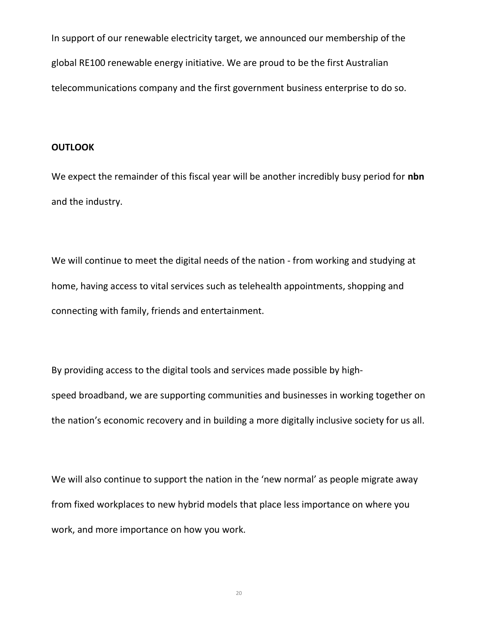In support of our renewable electricity target, we announced our membership of the global RE100 renewable energy initiative. We are proud to be the first Australian telecommunications company and the first government business enterprise to do so.

#### **OUTLOOK**

We expect the remainder of this fiscal year will be another incredibly busy period for nbn and the industry.

We will continue to meet the digital needs of the nation - from working and studying at home, having access to vital services such as telehealth appointments, shopping and connecting with family, friends and entertainment.

By providing access to the digital tools and services made possible by highspeed broadband, we are supporting communities and businesses in working together on the nation's economic recovery and in building a more digitally inclusive society for us all.

We will also continue to support the nation in the 'new normal' as people migrate away from fixed workplaces to new hybrid models that place less importance on where you work, and more importance on how you work.